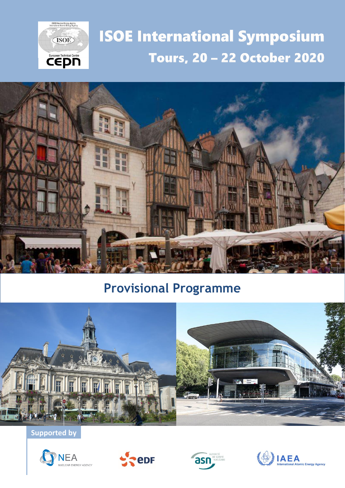

# **ISOE International Symposium Tours, 20 - 22 October 2020**



# **Provisional Programme**



**Supported by**







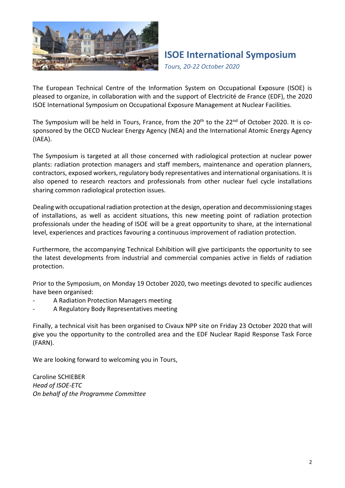

*Tours, 20-22 October 2020*

The European Technical Centre of the Information System on Occupational Exposure (ISOE) is pleased to organize, in collaboration with and the support of Electricité de France (EDF), the 2020 ISOE International Symposium on Occupational Exposure Management at Nuclear Facilities.

The Symposium will be held in Tours, France, from the 20<sup>th</sup> to the 22<sup>nd</sup> of October 2020. It is cosponsored by the OECD Nuclear Energy Agency (NEA) and the International Atomic Energy Agency (IAEA).

The Symposium is targeted at all those concerned with radiological protection at nuclear power plants: radiation protection managers and staff members, maintenance and operation planners, contractors, exposed workers, regulatory body representatives and international organisations. It is also opened to research reactors and professionals from other nuclear fuel cycle installations sharing common radiological protection issues.

Dealing with occupational radiation protection at the design, operation and decommissioning stages of installations, as well as accident situations, this new meeting point of radiation protection professionals under the heading of ISOE will be a great opportunity to share, at the international level, experiences and practices favouring a continuous improvement of radiation protection.

Furthermore, the accompanying Technical Exhibition will give participants the opportunity to see the latest developments from industrial and commercial companies active in fields of radiation protection.

Prior to the Symposium, on Monday 19 October 2020, two meetings devoted to specific audiences have been organised:

- A Radiation Protection Managers meeting
- A Regulatory Body Representatives meeting

Finally, a technical visit has been organised to Civaux NPP site on Friday 23 October 2020 that will give you the opportunity to the controlled area and the EDF Nuclear Rapid Response Task Force (FARN).

We are looking forward to welcoming you in Tours,

Caroline SCHIEBER *Head of ISOE-ETC On behalf of the Programme Committee*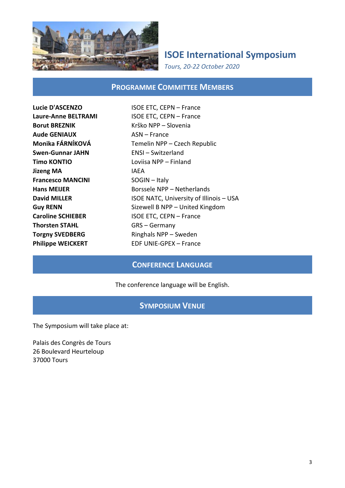

*Tours, 20-22 October 2020*

#### **PROGRAMME COMMITTEE MEMBERS**

**Borut BREZNIK** Krško NPP – Slovenia **Aude GENIAUX** ASN – France **Swen-Gunnar JAHN** ENSI – Switzerland **Timo KONTIO** Loviisa NPP – Finland **Jizeng MA IAEA Francesco MANCINI** SOGIN – Italy **Thorsten STAHL GRS** – Germany

**Lucie D'ASCENZO** ISOE ETC, CEPN – France **Laure-Anne BELTRAMI** ISOE ETC, CEPN – France **Monika FÁRNÍKOVÁ** Temelin NPP – Czech Republic **Hans MEIJER** Borssele NPP – Netherlands **David MILLER ISOE NATC, University of Illinois – USA Guy RENN** Sizewell B NPP – United Kingdom **Caroline SCHIEBER ISOE ETC, CEPN – France Torgny SVEDBERG** Ringhals NPP – Sweden **Philippe WEICKERT** EDF UNIE-GPEX – France

#### **CONFERENCE LANGUAGE**

#### The conference language will be English.

#### **SYMPOSIUM VENUE**

The Symposium will take place at:

Palais des Congrès de Tours 26 Boulevard Heurteloup 37000 Tours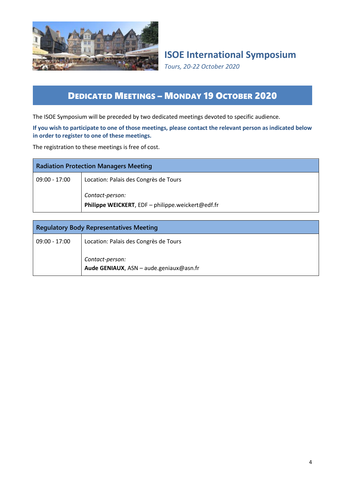

*Tours, 20-22 October 2020*

### DEDICATED MEETINGS – MONDAY 19 OCTOBER 2020

The ISOE Symposium will be preceded by two dedicated meetings devoted to specific audience.

#### **If you wish to participate to one of those meetings, please contact the relevant person as indicated below in order to register to one of these meetings.**

The registration to these meetings is free of cost.

| <b>Radiation Protection Managers Meeting</b> |                                                                      |
|----------------------------------------------|----------------------------------------------------------------------|
| 09:00 - 17:00                                | Location: Palais des Congrès de Tours                                |
|                                              | Contact-person:<br>Philippe WEICKERT, EDF - philippe.weickert@edf.fr |

| <b>Regulatory Body Representatives Meeting</b> |                                                            |
|------------------------------------------------|------------------------------------------------------------|
| 09:00 - 17:00                                  | Location: Palais des Congrès de Tours                      |
|                                                | Contact-person:<br>Aude GENIAUX, ASN - aude.geniaux@asn.fr |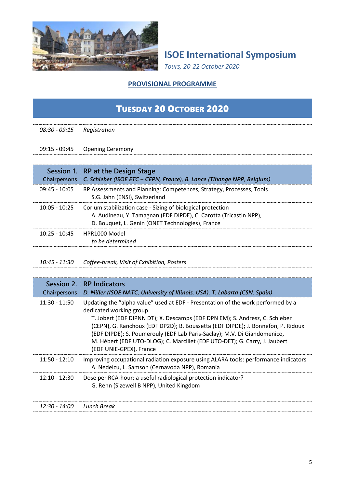

*Tours, 20-22 October 2020*

#### **PROVISIONAL PROGRAMME**

### TUESDAY 20 OCTOBER 2020

| 08:30 - 09:15 | Registration<br>------------- |  |
|---------------|-------------------------------|--|
|               |                               |  |

09:15 - 09:45 Opening Ceremony

| <b>Chairpersons</b> | Session 1. RP at the Design Stage<br>C. Schieber (ISOE ETC – CEPN, France), B. Lance (Tihange NPP, Belgium)                                                                          |
|---------------------|--------------------------------------------------------------------------------------------------------------------------------------------------------------------------------------|
| $09:45 - 10:05$     | RP Assessments and Planning: Competences, Strategy, Processes, Tools<br>S.G. Jahn (ENSI), Switzerland                                                                                |
| $10:05 - 10:25$     | Corium stabilization case - Sizing of biological protection<br>A. Audineau, Y. Tamagnan (EDF DIPDE), C. Carotta (Tricastin NPP),<br>D. Bouquet, L. Genin (ONET Technologies), France |
| $10:25 - 10:45$     | HPR1000 Model<br>to be determined                                                                                                                                                    |

| 10:45 - 11:30 Coffee-break, Visit of Exhibition, Posters |
|----------------------------------------------------------|
|                                                          |

| Session 2.<br><b>Chairpersons</b> | RP Indicators<br>D. Miller (ISOE NATC, University of Illinois, USA), T. Labarta (CSN, Spain)                                                                                                                                                                                                                                                                                                                                                                        |
|-----------------------------------|---------------------------------------------------------------------------------------------------------------------------------------------------------------------------------------------------------------------------------------------------------------------------------------------------------------------------------------------------------------------------------------------------------------------------------------------------------------------|
| $11:30 - 11:50$                   | Updating the "alpha value" used at EDF - Presentation of the work performed by a<br>dedicated working group<br>T. Jobert (EDF DIPNN DT); X. Descamps (EDF DPN EM); S. Andresz, C. Schieber<br>(CEPN), G. Ranchoux (EDF DP2D); B. Boussetta (EDF DIPDE); J. Bonnefon, P. Ridoux<br>(EDF DIPDE); S. Poumerouly (EDF Lab Paris-Saclay); M.V. Di Giandomenico,<br>M. Hébert (EDF UTO-DLOG); C. Marcillet (EDF UTO-DET); G. Carry, J. Jaubert<br>(EDF UNIE-GPEX), France |
| $11:50 - 12:10$                   | Improving occupational radiation exposure using ALARA tools: performance indicators<br>A. Nedelcu, L. Samson (Cernavoda NPP), Romania                                                                                                                                                                                                                                                                                                                               |
| $12:10 - 12:30$                   | Dose per RCA-hour; a useful radiological protection indicator?<br>G. Renn (Sizewell B NPP), United Kingdom                                                                                                                                                                                                                                                                                                                                                          |

| :00<br>$30 -$<br>__<br>__ | Lunch Break<br>$   -$<br>$\sim$ $\sim$ |  |
|---------------------------|----------------------------------------|--|
|                           |                                        |  |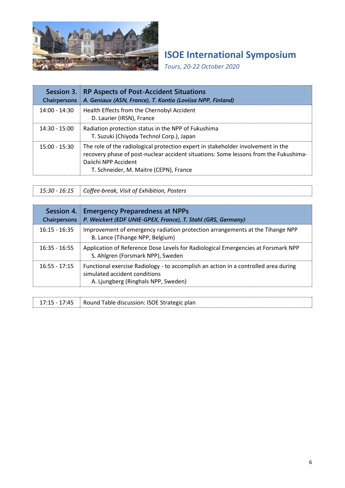

*Tours, 20-22 October 2020*

| Session 3.<br><b>Chairpersons</b> | <b>RP Aspects of Post-Accident Situations</b><br>A. Geniaux (ASN, France), T. Kontio (Loviisa NPP, Finland)                                                                                                                                |
|-----------------------------------|--------------------------------------------------------------------------------------------------------------------------------------------------------------------------------------------------------------------------------------------|
| $14:00 - 14:30$                   | Health Effects from the Chernobyl Accident<br>D. Laurier (IRSN), France                                                                                                                                                                    |
| $14:30 - 15:00$                   | Radiation protection status in the NPP of Fukushima<br>T. Suzuki (Chiyoda Technol Corp.), Japan                                                                                                                                            |
| $15:00 - 15:30$                   | The role of the radiological protection expert in stakeholder involvement in the<br>recovery phase of post-nuclear accident situations: Some lessons from the Fukushima-<br>Daiichi NPP Accident<br>T. Schneider, M. Maitre (CEPN), France |

*15:30 - 16:15 Coffee-break, Visit of Exhibition, Posters*

| Session 4.<br>Chairpersons | <b>Emergency Preparedness at NPPs</b><br>P. Weickert (EDF UNIE-GPEX, France), T. Stahl (GRS, Germany)                                                       |
|----------------------------|-------------------------------------------------------------------------------------------------------------------------------------------------------------|
| $16:15 - 16:35$            | Improvement of emergency radiation protection arrangements at the Tihange NPP<br>B. Lance (Tihange NPP, Belgium)                                            |
| $16:35 - 16:55$            | Application of Reference Dose Levels for Radiological Emergencies at Forsmark NPP<br>S. Ahlgren (Forsmark NPP), Sweden                                      |
| $16:55 - 17:15$            | Functional exercise Radiology - to accomplish an action in a controlled area during<br>simulated accident conditions<br>A. Ljungberg (Ringhals NPP, Sweden) |

|  | 17:15 - 17:45 Round Table discussion: ISOE Strategic plan |  |
|--|-----------------------------------------------------------|--|
|--|-----------------------------------------------------------|--|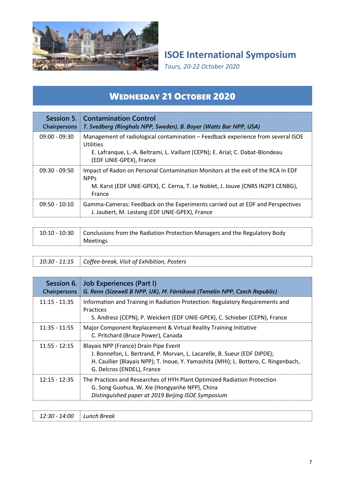

*Tours, 20-22 October 2020*

# WEDNESDAY 21 OCTOBER 2020

| <b>Chairpersons</b> | <b>Session 5. Contamination Control</b><br>T. Svedberg (Ringhals NPP, Sweden), B. Boyer (Watts Bar NPP, USA)                                                                                                     |
|---------------------|------------------------------------------------------------------------------------------------------------------------------------------------------------------------------------------------------------------|
| $09:00 - 09:30$     | Management of radiological contamination – Feedback experience from several ISOE<br><b>Utilities</b><br>E. Lafranque, L.-A. Beltrami, L. Vaillant (CEPN); E. Arial; C. Dabat-Blondeau<br>(EDF UNIE-GPEX), France |
| $09:30 - 09:50$     | Impact of Radon on Personal Contamination Monitors at the exit of the RCA in EDF<br><b>NPP<sub>S</sub></b><br>M. Karst (EDF UNIE-GPEX), C. Cerna, T. Le Noblet, J. Jouve (CNRS IN2P3 CENBG),<br>France           |
| $09:50 - 10:10$     | Gamma-Cameras: Feedback on the Experiments carried out at EDF and Perspectives<br>J. Jaubert, M. Lestang (EDF UNIE-GPEX), France                                                                                 |

| 10:10 - 10:30 | Conclusions from the Radiation Protection Managers and the Regulatory Body |
|---------------|----------------------------------------------------------------------------|
|               | Meetings                                                                   |
|               |                                                                            |

| 10:30 - 11:15 Coffee-break, Visit of Exhibition, Posters |  |
|----------------------------------------------------------|--|
|                                                          |  |

| Session 6.<br><b>Chairpersons</b> | Job Experiences (Part I)<br>G. Renn (Sizewell B NPP, UK), M. Fárníková (Temelin NPP, Czech Republic)                                                                                                                                   |
|-----------------------------------|----------------------------------------------------------------------------------------------------------------------------------------------------------------------------------------------------------------------------------------|
| 11:15 - 11:35                     | Information and Training in Radiation Protection: Regulatory Requirements and<br>Practices<br>S. Andresz (CEPN), P. Weickert (EDF UNIE-GPEX), C. Schieber (CEPN), France                                                               |
| $11:35 - 11:55$                   | Major Component Replacement & Virtual Reality Training Initiative<br>C. Pritchard (Bruce Power), Canada                                                                                                                                |
| $11:55 - 12:15$                   | Blayais NPP (France) Drain Pipe Event<br>J. Bonnefon, L. Bertrand, P. Morvan, L. Lacarelle, B. Sueur (EDF DIPDE);<br>H. Caullier (Blayais NPP); T. Inoue, Y. Yamashita (MHI); L. Bottero, C. Ringenbach,<br>G. Delcros (ENDEL), France |
| $12:15 - 12:35$                   | The Practices and Researches of HYH Plant Optimized Radiation Protection<br>G. Song Guohua, W. Xie (Hongyanhe NPP), China<br>Distinguished paper at 2019 Beijing ISOE Symposium                                                        |

| 4:00<br>12:30<br>$\overline{ }$<br>__<br>__ | $\iota$ inch<br>Break<br>Luicii |  |
|---------------------------------------------|---------------------------------|--|
|                                             |                                 |  |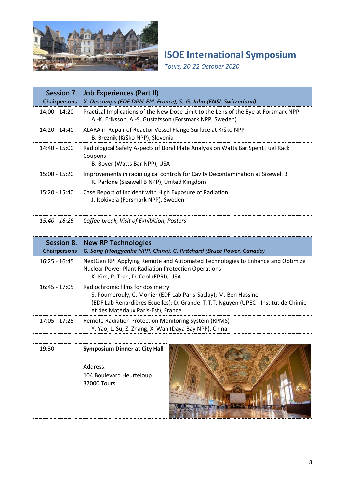

*Tours, 20-22 October 2020*

| <b>Chairpersons</b> | Session 7. Job Experiences (Part II)<br>X. Descamps (EDF DPN-EM, France), S.-G. Jahn (ENSI, Switzerland)                                       |
|---------------------|------------------------------------------------------------------------------------------------------------------------------------------------|
| $14:00 - 14:20$     | Practical Implications of the New Dose Limit to the Lens of the Eye at Forsmark NPP<br>A.-K. Eriksson, A.-S. Gustafsson (Forsmark NPP, Sweden) |
| $14:20 - 14:40$     | ALARA in Repair of Reactor Vessel Flange Surface at Krško NPP<br>B. Breznik (Krško NPP), Slovenia                                              |
| 14:40 - 15:00       | Radiological Safety Aspects of Boral Plate Analysis on Watts Bar Spent Fuel Rack<br>Coupons<br>B. Boyer (Watts Bar NPP), USA                   |
| $15:00 - 15:20$     | Improvements in radiological controls for Cavity Decontamination at Sizewell B<br>R. Parlone (Sizewell B NPP), United Kingdom                  |
| 15:20 - 15:40       | Case Report of Incident with High Exposure of Radiation<br>J. Isokivelä (Forsmark NPP), Sweden                                                 |

*15:40 - 16:25 Coffee-break, Visit of Exhibition, Posters*

| Session 8.<br><b>Chairpersons</b> | New RP Technologies<br>G. Song (Hongyanhe NPP, China), C. Pritchard (Bruce Power, Canada)                                                                                                                                         |
|-----------------------------------|-----------------------------------------------------------------------------------------------------------------------------------------------------------------------------------------------------------------------------------|
| $16:25 - 16:45$                   | NextGen RP: Applying Remote and Automated Technologies to Enhance and Optimize<br><b>Nuclear Power Plant Radiation Protection Operations</b><br>K. Kim, P. Tran, D. Cool (EPRI), USA                                              |
| $16:45 - 17:05$                   | Radiochromic films for dosimetry<br>S. Poumerouly, C. Monier (EDF Lab Paris-Saclay); M. Ben Hassine<br>(EDF Lab Renardières Ecuelles); D. Grande, T.T.T. Nguyen (UPEC - Institut de Chimie<br>et des Matériaux Paris-Est), France |
| $17:05 - 17:25$                   | Remote Radiation Protection Monitoring System (RPMS)<br>Y. Yao, L. Su, Z. Zhang, X. Wan (Daya Bay NPP), China                                                                                                                     |

| 19:30 | <b>Symposium Dinner at City Hall</b> |  |
|-------|--------------------------------------|--|
|       | Address:                             |  |
|       | 104 Boulevard Heurteloup             |  |
|       | 37000 Tours                          |  |
|       |                                      |  |
|       |                                      |  |

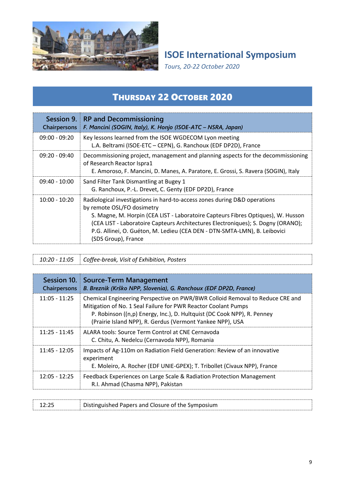

*Tours, 20-22 October 2020*

### THURSDAY 22 OCTOBER 2020

| Session 9.<br><b>Chairpersons</b> | RP and Decommissioning<br>F. Mancini (SOGIN, Italy), K. Honjo (ISOE-ATC - NSRA, Japan)                                                                                                                                                                                                                                                                                              |
|-----------------------------------|-------------------------------------------------------------------------------------------------------------------------------------------------------------------------------------------------------------------------------------------------------------------------------------------------------------------------------------------------------------------------------------|
| $09:00 - 09:20$                   | Key lessons learned from the ISOE WGDECOM Lyon meeting<br>L.A. Beltrami (ISOE-ETC - CEPN), G. Ranchoux (EDF DP2D), France                                                                                                                                                                                                                                                           |
| $09:20 - 09:40$                   | Decommissioning project, management and planning aspects for the decommissioning<br>of Research Reactor Ispra1<br>E. Amoroso, F. Mancini, D. Manes, A. Paratore, E. Grossi, S. Ravera (SOGIN), Italy                                                                                                                                                                                |
| $09:40 - 10:00$                   | Sand Filter Tank Dismantling at Bugey 1<br>G. Ranchoux, P.-L. Drevet, C. Genty (EDF DP2D), France                                                                                                                                                                                                                                                                                   |
| $10:00 - 10:20$                   | Radiological investigations in hard-to-access zones during D&D operations<br>by remote OSL/FO dosimetry<br>S. Magne, M. Horpin (CEA LIST - Laboratoire Capteurs Fibres Optiques), W. Husson<br>(CEA LIST - Laboratoire Capteurs Architectures Electroniques); S. Dogny (ORANO);<br>P.G. Allinei, O. Guéton, M. Ledieu (CEA DEN - DTN-SMTA-LMN), B. Leibovici<br>(SDS Group), France |

*10:20 - 11:05 Coffee-break, Visit of Exhibition, Posters*

| Session 10.<br><b>Chairpersons</b> | Source-Term Management<br>B. Breznik (Krško NPP, Slovenia), G. Ranchoux (EDF DP2D, France)                                                                                                                                                                                              |
|------------------------------------|-----------------------------------------------------------------------------------------------------------------------------------------------------------------------------------------------------------------------------------------------------------------------------------------|
| $11:05 - 11:25$                    | Chemical Engineering Perspective on PWR/BWR Colloid Removal to Reduce CRE and<br>Mitigation of No. 1 Seal Failure for PWR Reactor Coolant Pumps<br>P. Robinson ((n,p) Energy, Inc.), D. Hultquist (DC Cook NPP), R. Penney<br>(Prairie Island NPP), R. Gerdus (Vermont Yankee NPP), USA |
| $11:25 - 11:45$                    | ALARA tools: Source Term Control at CNE Cernavoda<br>C. Chitu, A. Nedelcu (Cernavoda NPP), Romania                                                                                                                                                                                      |
| $11:45 - 12:05$                    | Impacts of Ag-110m on Radiation Field Generation: Review of an innovative<br>experiment<br>E. Moleiro, A. Rocher (EDF UNIE-GPEX); T. Tribollet (Civaux NPP), France                                                                                                                     |
| $12:05 - 12:25$                    | Feedback Experiences on Large Scale & Radiation Protection Management<br>R.I. Ahmad (Chasma NPP), Pakistan                                                                                                                                                                              |

| Distinguished Papers and Closure of the Symposium |
|---------------------------------------------------|
|---------------------------------------------------|